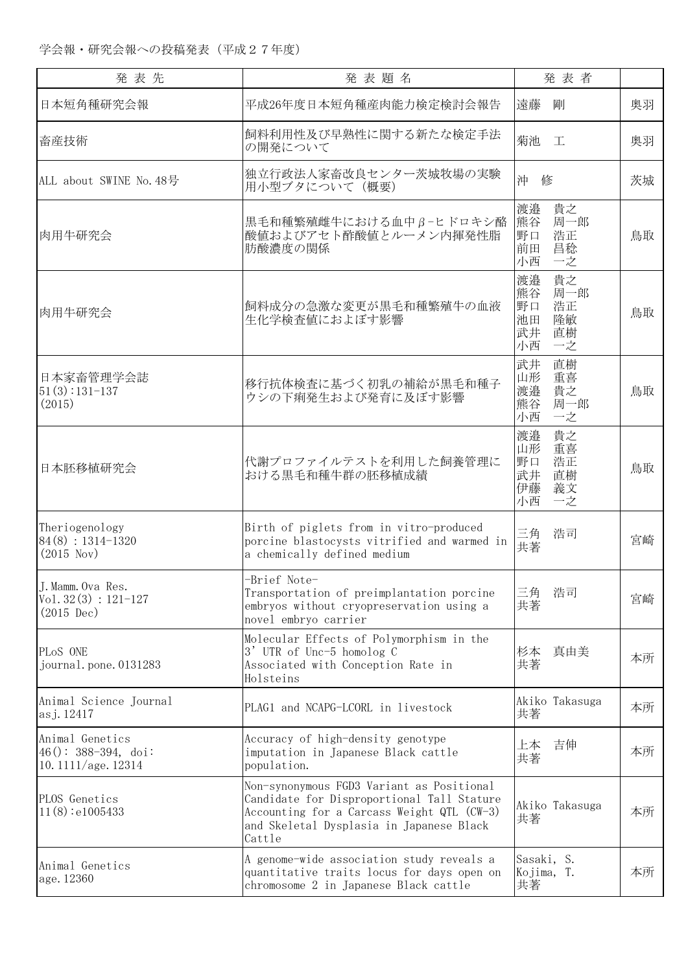| 発 表 先                                                               | 発表題名                                                                                                                                                                                        | 発表者                                                                   |    |
|---------------------------------------------------------------------|---------------------------------------------------------------------------------------------------------------------------------------------------------------------------------------------|-----------------------------------------------------------------------|----|
| 日本短角種研究会報                                                           | 平成26年度日本短角種産肉能力検定検討会報告                                                                                                                                                                      | 遠藤<br>剛                                                               | 奥羽 |
| 畜産技術                                                                | 飼料利用性及び早熟性に関する新たな検定手法<br>の開発について                                                                                                                                                            | 菊池<br>工                                                               | 奥羽 |
| ALL about SWINE No. 48号                                             | 独立行政法人家畜改良センター茨城牧場の実験<br>用小型ブタについて (概要)                                                                                                                                                     | 沖<br>修                                                                | 茨城 |
| 肉用牛研究会                                                              | 黒毛和種繁殖雌牛における血中β-ヒドロキシ酪<br>酸値およびアセト酢酸値とルーメン内揮発性脂<br>肪酸濃度の関係                                                                                                                                  | 貴之<br>渡邉<br>熊谷<br>周一郎<br>浩正<br>野口<br>昌稔<br>前田<br>一之<br>小西             | 鳥取 |
| 肉用牛研究会                                                              | 飼料成分の急激な変更が黒毛和種繁殖牛の血液<br>生化学検査値におよぼす影響                                                                                                                                                      | 貴之<br>渡邉<br>熊谷<br>周一郎<br>野口<br>浩正<br>隆敏<br>池田<br>直樹<br>武井<br>小西<br>一之 | 鳥取 |
| 日本家畜管理学会誌<br>$51(3):131-137$<br>(2015)                              | 移行抗体検査に基づく初乳の補給が黒毛和種子<br>ウシの下痢発生および発育に及ぼす影響                                                                                                                                                 | 武井<br>直樹<br>重喜<br>山形<br>貴之<br>渡邉<br>周一郎<br>熊谷<br>小西<br>一之             | 鳥取 |
| 日本胚移植研究会                                                            | 代謝プロファイルテストを利用した飼養管理に<br>おける黒毛和種牛群の胚移植成績                                                                                                                                                    | 渡邉<br>貴之<br>山形<br>重喜<br>浩正<br>野口<br>武井<br>直樹<br>義文<br>伊藤<br>小西<br>一之  | 鳥取 |
| Theriogenology<br>$84(8): 1314-1320$<br>(2015 Nov)                  | Birth of piglets from in vitro-produced<br>porcine blastocysts vitrified and warmed in<br>a chemically defined medium                                                                       | 三角<br>浩司<br>共著                                                        | 宮崎 |
| J. Mamm. Ova Res.<br>$Vol. 32(3) : 121-127$<br>$(2015 \text{ Dec})$ | -Brief Note-<br>Transportation of preimplantation porcine<br>embryos without cryopreservation using a<br>novel embryo carrier                                                               | 三角<br>浩司<br>共著                                                        | 宮崎 |
| PLoS ONE<br>journal.pone.0131283                                    | Molecular Effects of Polymorphism in the<br>3' UTR of Unc-5 homolog C<br>Associated with Conception Rate in<br>Holsteins                                                                    | 真由美<br>杉本<br>共著                                                       | 本所 |
| Animal Science Journal<br>asj. 12417                                | PLAG1 and NCAPG-LCORL in livestock                                                                                                                                                          | Akiko Takasuga<br>共著                                                  | 本所 |
| Animal Genetics<br>$46()$ : 388-394, doi:<br>10.1111/age.12314      | Accuracy of high-density genotype<br>imputation in Japanese Black cattle<br>population.                                                                                                     | 吉伸<br>上本<br>共著                                                        | 本所 |
| PLOS Genetics<br>11(8):e1005433                                     | Non-synonymous FGD3 Variant as Positional<br>Candidate for Disproportional Tall Stature<br>Accounting for a Carcass Weight QTL (CW-3)<br>and Skeletal Dysplasia in Japanese Black<br>Cattle | Akiko Takasuga<br>共著                                                  | 本所 |
| Animal Genetics<br>age. 12360                                       | A genome-wide association study reveals a<br>quantitative traits locus for days open on<br>chromosome 2 in Japanese Black cattle                                                            | Sasaki, S.<br>Kojima, T.<br>共著                                        | 本所 |